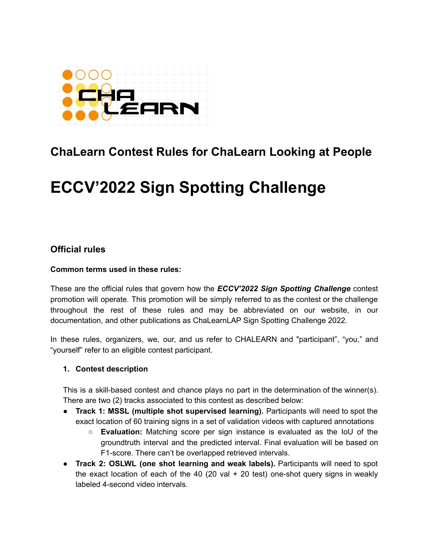

# **ChaLearn Contest Rules for ChaLearn Looking at People**

# **ECCV'2022 Sign Spotting Challenge**

# **Official rules**

## **Common terms used in these rules:**

These are the official rules that govern how the *ECCV'2022 Sign Spotting Challenge* contest promotion will operate. This promotion will be simply referred to as the contest or the challenge throughout the rest of these rules and may be abbreviated on our website, in our documentation, and other publications as ChaLearnLAP Sign Spotting Challenge 2022.

In these rules, organizers, we, our, and us refer to CHALEARN and "participant", "you," and "yourself" refer to an eligible contest participant.

## **1. Contest description**

This is a skill-based contest and chance plays no part in the determination of the winner(s). There are two (2) tracks associated to this contest as described below:

- **Track 1: MSSL (multiple shot supervised learning).** Participants will need to spot the exact location of 60 training signs in a set of validation videos with captured annotations
	- **Evaluation:** Matching score per sign instance is evaluated as the IoU of the groundtruth interval and the predicted interval. Final evaluation will be based on F1-score. There can't be overlapped retrieved intervals.
- **Track 2: OSLWL (one shot learning and weak labels).** Participants will need to spot the exact location of each of the 40 (20 val  $+$  20 test) one-shot query signs in weakly labeled 4-second video intervals.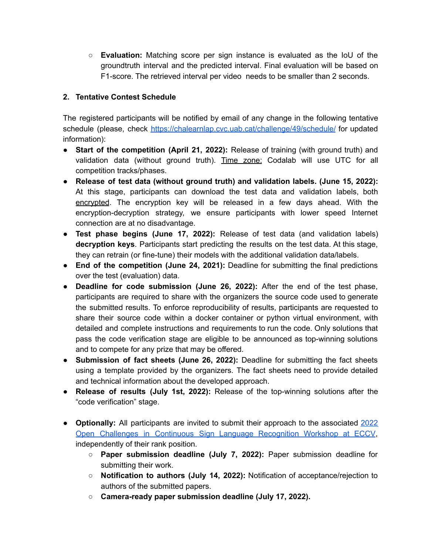○ **Evaluation:** Matching score per sign instance is evaluated as the IoU of the groundtruth interval and the predicted interval. Final evaluation will be based on F1-score. The retrieved interval per video needs to be smaller than 2 seconds.

# **2. Tentative Contest Schedule**

The registered participants will be notified by email of any change in the following tentative schedule (please, check <https://chalearnlap.cvc.uab.cat/challenge/49/schedule/> for updated information):

- **Start of the competition (April 21, 2022):** Release of training (with ground truth) and validation data (without ground truth). Time zone: Codalab will use UTC for all competition tracks/phases.
- **Release of test data (without ground truth) and validation labels. (June 15, 2022):** At this stage, participants can download the test data and validation labels, both encrypted. The encryption key will be released in a few days ahead. With the encryption-decryption strategy, we ensure participants with lower speed Internet connection are at no disadvantage.
- **Test phase begins (June 17, 2022):** Release of test data (and validation labels) **decryption keys**. Participants start predicting the results on the test data. At this stage, they can retrain (or fine-tune) their models with the additional validation data/labels.
- **End of the competition (June 24, 2021):** Deadline for submitting the final predictions over the test (evaluation) data.
- **Deadline for code submission (June 26, 2022):** After the end of the test phase, participants are required to share with the organizers the source code used to generate the submitted results. To enforce reproducibility of results, participants are requested to share their source code within a docker container or python virtual environment, with detailed and complete instructions and requirements to run the code. Only solutions that pass the code verification stage are eligible to be announced as top-winning solutions and to compete for any prize that may be offered.
- **Submission of fact sheets (June 26, 2022):** Deadline for submitting the fact sheets using a template provided by the organizers. The fact sheets need to provide detailed and technical information about the developed approach.
- **Release of results (July 1st, 2022):** Release of the top-winning solutions after the "code verification" stage.
- **● Optionally:** All participants are invited to submit their approach to the associated [2022](https://chalearnlap.cvc.uab.cat/workshop/50/description/) Open Challenges in Continuous Sign Language [Recognition](https://chalearnlap.cvc.uab.cat/workshop/50/description/) Workshop at ECCV, independently of their rank position.
	- **○ Paper submission deadline (July 7, 2022):** Paper submission deadline for submitting their work.
	- **○ Notification to authors (July 14, 2022):** Notification of acceptance/rejection to authors of the submitted papers.
	- **○ Camera-ready paper submission deadline (July 17, 2022).**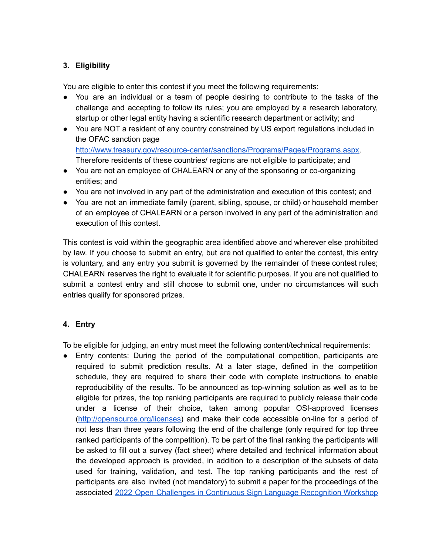# **3. Eligibility**

You are eligible to enter this contest if you meet the following requirements:

- You are an individual or a team of people desiring to contribute to the tasks of the challenge and accepting to follow its rules; you are employed by a research laboratory, startup or other legal entity having a scientific research department or activity; and
- You are NOT a resident of any country constrained by US export regulations included in the OFAC sanction page [http://www.treasury.gov/resource-center/sanctions/Programs/Pages/Programs.aspx.](http://www.treasury.gov/resource-center/sanctions/Programs/Pages/Programs.aspx) Therefore residents of these countries/ regions are not eligible to participate; and
- You are not an employee of CHALEARN or any of the sponsoring or co-organizing entities; and
- You are not involved in any part of the administration and execution of this contest; and
- You are not an immediate family (parent, sibling, spouse, or child) or household member of an employee of CHALEARN or a person involved in any part of the administration and execution of this contest.

This contest is void within the geographic area identified above and wherever else prohibited by law. If you choose to submit an entry, but are not qualified to enter the contest, this entry is voluntary, and any entry you submit is governed by the remainder of these contest rules; CHALEARN reserves the right to evaluate it for scientific purposes. If you are not qualified to submit a contest entry and still choose to submit one, under no circumstances will such entries qualify for sponsored prizes.

# **4. Entry**

To be eligible for judging, an entry must meet the following content/technical requirements:

• Entry contents: During the period of the computational competition, participants are required to submit prediction results. At a later stage, defined in the competition schedule, they are required to share their code with complete instructions to enable reproducibility of the results. To be announced as top-winning solution as well as to be eligible for prizes, the top ranking participants are required to publicly release their code under a license of their choice, taken among popular OSI-approved licenses (<http://opensource.org/licenses>) and make their code accessible on-line for a period of not less than three years following the end of the challenge (only required for top three ranked participants of the competition). To be part of the final ranking the participants will be asked to fill out a survey (fact sheet) where detailed and technical information about the developed approach is provided, in addition to a description of the subsets of data used for training, validation, and test. The top ranking participants and the rest of participants are also invited (not mandatory) to submit a paper for the proceedings of the associated 2022 Open Challenges in Continuous Sign Language [Recognition](https://chalearnlap.cvc.uab.cat/workshop/50/description/) Workshop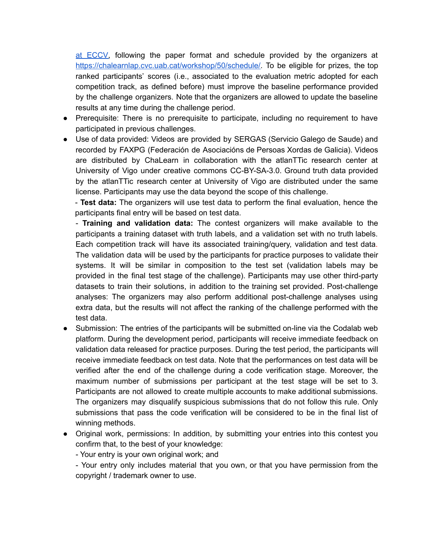at [ECCV,](https://chalearnlap.cvc.uab.cat/workshop/50/description/) following the paper format and schedule provided by the organizers at [https://chalearnlap.cvc.uab.cat/workshop/50/schedule/.](https://chalearnlap.cvc.uab.cat/workshop/50/schedule/) To be eligible for prizes, the top ranked participants' scores (i.e., associated to the evaluation metric adopted for each competition track, as defined before) must improve the baseline performance provided by the challenge organizers. Note that the organizers are allowed to update the baseline results at any time during the challenge period.

- Prerequisite: There is no prerequisite to participate, including no requirement to have participated in previous challenges.
- Use of data provided: Videos are provided by SERGAS (Servicio Galego de Saude) and recorded by FAXPG (Federación de Asociacións de Persoas Xordas de Galicia). Videos are distributed by ChaLearn in collaboration with the atlanTTic research center at University of Vigo under creative commons CC-BY-SA-3.0. Ground truth data provided by the atlanTTic research center at University of Vigo are distributed under the same license. Participants may use the data beyond the scope of this challenge.

- **Test data:** The organizers will use test data to perform the final evaluation, hence the participants final entry will be based on test data.

- **Training and validation data:** The contest organizers will make available to the participants a training dataset with truth labels, and a validation set with no truth labels. Each competition track will have its associated training/query, validation and test data. The validation data will be used by the participants for practice purposes to validate their systems. It will be similar in composition to the test set (validation labels may be provided in the final test stage of the challenge). Participants may use other third-party datasets to train their solutions, in addition to the training set provided. Post-challenge analyses: The organizers may also perform additional post-challenge analyses using extra data, but the results will not affect the ranking of the challenge performed with the test data.

- Submission: The entries of the participants will be submitted on-line via the Codalab web platform. During the development period, participants will receive immediate feedback on validation data released for practice purposes. During the test period, the participants will receive immediate feedback on test data. Note that the performances on test data will be verified after the end of the challenge during a code verification stage. Moreover, the maximum number of submissions per participant at the test stage will be set to 3. Participants are not allowed to create multiple accounts to make additional submissions. The organizers may disqualify suspicious submissions that do not follow this rule. Only submissions that pass the code verification will be considered to be in the final list of winning methods.
- Original work, permissions: In addition, by submitting your entries into this contest you confirm that, to the best of your knowledge:

- Your entry is your own original work; and

- Your entry only includes material that you own, or that you have permission from the copyright / trademark owner to use.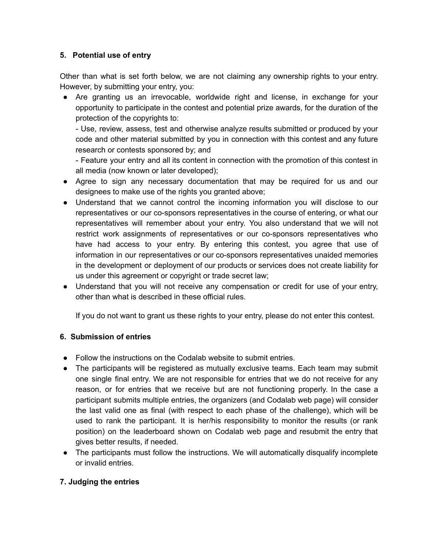# **5. Potential use of entry**

Other than what is set forth below, we are not claiming any ownership rights to your entry. However, by submitting your entry, you:

● Are granting us an irrevocable, worldwide right and license, in exchange for your opportunity to participate in the contest and potential prize awards, for the duration of the protection of the copyrights to:

- Use, review, assess, test and otherwise analyze results submitted or produced by your code and other material submitted by you in connection with this contest and any future research or contests sponsored by; and

- Feature your entry and all its content in connection with the promotion of this contest in all media (now known or later developed);

- Agree to sign any necessary documentation that may be required for us and our designees to make use of the rights you granted above;
- Understand that we cannot control the incoming information you will disclose to our representatives or our co-sponsors representatives in the course of entering, or what our representatives will remember about your entry. You also understand that we will not restrict work assignments of representatives or our co-sponsors representatives who have had access to your entry. By entering this contest, you agree that use of information in our representatives or our co-sponsors representatives unaided memories in the development or deployment of our products or services does not create liability for us under this agreement or copyright or trade secret law;
- Understand that you will not receive any compensation or credit for use of your entry, other than what is described in these official rules.

If you do not want to grant us these rights to your entry, please do not enter this contest.

## **6. Submission of entries**

- Follow the instructions on the Codalab website to submit entries.
- The participants will be registered as mutually exclusive teams. Each team may submit one single final entry. We are not responsible for entries that we do not receive for any reason, or for entries that we receive but are not functioning properly. In the case a participant submits multiple entries, the organizers (and Codalab web page) will consider the last valid one as final (with respect to each phase of the challenge), which will be used to rank the participant. It is her/his responsibility to monitor the results (or rank position) on the leaderboard shown on Codalab web page and resubmit the entry that gives better results, if needed.
- The participants must follow the instructions. We will automatically disqualify incomplete or invalid entries.

# **7. Judging the entries**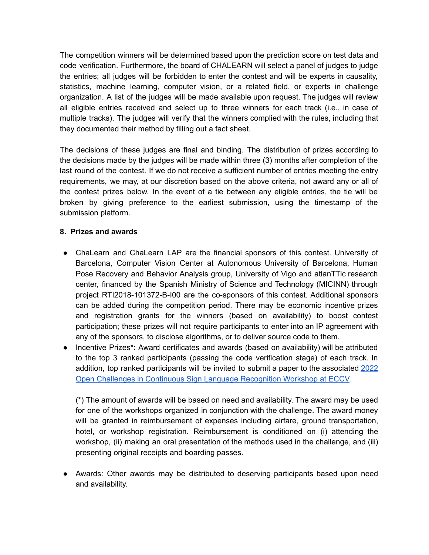The competition winners will be determined based upon the prediction score on test data and code verification. Furthermore, the board of CHALEARN will select a panel of judges to judge the entries; all judges will be forbidden to enter the contest and will be experts in causality, statistics, machine learning, computer vision, or a related field, or experts in challenge organization. A list of the judges will be made available upon request. The judges will review all eligible entries received and select up to three winners for each track (i.e., in case of multiple tracks). The judges will verify that the winners complied with the rules, including that they documented their method by filling out a fact sheet.

The decisions of these judges are final and binding. The distribution of prizes according to the decisions made by the judges will be made within three (3) months after completion of the last round of the contest. If we do not receive a sufficient number of entries meeting the entry requirements, we may, at our discretion based on the above criteria, not award any or all of the contest prizes below. In the event of a tie between any eligible entries, the tie will be broken by giving preference to the earliest submission, using the timestamp of the submission platform.

## **8. Prizes and awards**

- ChaLearn and ChaLearn LAP are the financial sponsors of this contest. University of Barcelona, Computer Vision Center at Autonomous University of Barcelona, Human Pose Recovery and Behavior Analysis group, University of Vigo and atlanTTic research center, financed by the Spanish Ministry of Science and Technology (MICINN) through project RTI2018-101372-B-I00 are the co-sponsors of this contest. Additional sponsors can be added during the competition period. There may be economic incentive prizes and registration grants for the winners (based on availability) to boost contest participation; these prizes will not require participants to enter into an IP agreement with any of the sponsors, to disclose algorithms, or to deliver source code to them.
- Incentive Prizes\*: Award certificates and awards (based on availability) will be attributed to the top 3 ranked participants (passing the code verification stage) of each track. In addition, top ranked participants will be invited to submit a paper to the associated [2022](https://chalearnlap.cvc.uab.cat/workshop/50/description/) Open Challenges in Continuous Sign Language [Recognition](https://chalearnlap.cvc.uab.cat/workshop/50/description/) Workshop at ECCV.

(\*) The amount of awards will be based on need and availability. The award may be used for one of the workshops organized in conjunction with the challenge. The award money will be granted in reimbursement of expenses including airfare, ground transportation, hotel, or workshop registration. Reimbursement is conditioned on (i) attending the workshop, (ii) making an oral presentation of the methods used in the challenge, and (iii) presenting original receipts and boarding passes.

● Awards: Other awards may be distributed to deserving participants based upon need and availability.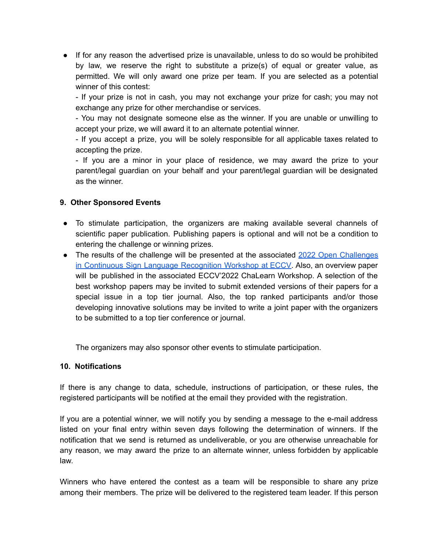● If for any reason the advertised prize is unavailable, unless to do so would be prohibited by law, we reserve the right to substitute a prize(s) of equal or greater value, as permitted. We will only award one prize per team. If you are selected as a potential winner of this contest:

- If your prize is not in cash, you may not exchange your prize for cash; you may not exchange any prize for other merchandise or services.

- You may not designate someone else as the winner. If you are unable or unwilling to accept your prize, we will award it to an alternate potential winner.

- If you accept a prize, you will be solely responsible for all applicable taxes related to accepting the prize.

- If you are a minor in your place of residence, we may award the prize to your parent/legal guardian on your behalf and your parent/legal guardian will be designated as the winner.

# **9. Other Sponsored Events**

- To stimulate participation, the organizers are making available several channels of scientific paper publication. Publishing papers is optional and will not be a condition to entering the challenge or winning prizes.
- The results of the challenge will be presented at the associated 2022 Open [Challenges](https://chalearnlap.cvc.uab.cat/workshop/50/description/) in Continuous Sign Language [Recognition](https://chalearnlap.cvc.uab.cat/workshop/50/description/) Workshop at ECCV. Also, an overview paper will be published in the associated ECCV'2022 ChaLearn Workshop. A selection of the best workshop papers may be invited to submit extended versions of their papers for a special issue in a top tier journal. Also, the top ranked participants and/or those developing innovative solutions may be invited to write a joint paper with the organizers to be submitted to a top tier conference or journal.

The organizers may also sponsor other events to stimulate participation.

# **10. Notifications**

If there is any change to data, schedule, instructions of participation, or these rules, the registered participants will be notified at the email they provided with the registration.

If you are a potential winner, we will notify you by sending a message to the e-mail address listed on your final entry within seven days following the determination of winners. If the notification that we send is returned as undeliverable, or you are otherwise unreachable for any reason, we may award the prize to an alternate winner, unless forbidden by applicable law.

Winners who have entered the contest as a team will be responsible to share any prize among their members. The prize will be delivered to the registered team leader. If this person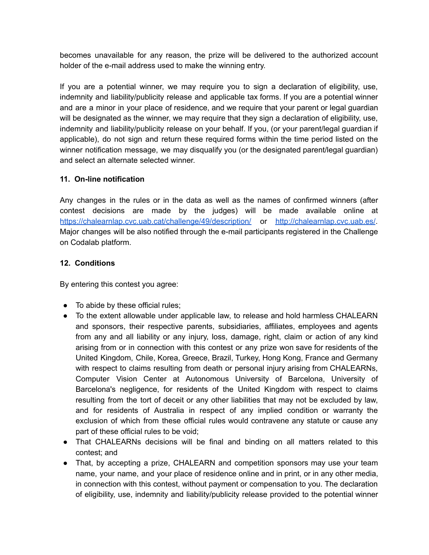becomes unavailable for any reason, the prize will be delivered to the authorized account holder of the e-mail address used to make the winning entry.

If you are a potential winner, we may require you to sign a declaration of eligibility, use, indemnity and liability/publicity release and applicable tax forms. If you are a potential winner and are a minor in your place of residence, and we require that your parent or legal guardian will be designated as the winner, we may require that they sign a declaration of eligibility, use, indemnity and liability/publicity release on your behalf. If you, (or your parent/legal guardian if applicable), do not sign and return these required forms within the time period listed on the winner notification message, we may disqualify you (or the designated parent/legal guardian) and select an alternate selected winner.

# **11. On-line notification**

Any changes in the rules or in the data as well as the names of confirmed winners (after contest decisions are made by the judges) will be made available online at <https://chalearnlap.cvc.uab.cat/challenge/49/description/> or <http://chalearnlap.cvc.uab.es/>. Major changes will be also notified through the e-mail participants registered in the Challenge on Codalab platform.

# **12. Conditions**

By entering this contest you agree:

- To abide by these official rules;
- To the extent allowable under applicable law, to release and hold harmless CHALEARN and sponsors, their respective parents, subsidiaries, affiliates, employees and agents from any and all liability or any injury, loss, damage, right, claim or action of any kind arising from or in connection with this contest or any prize won save for residents of the United Kingdom, Chile, Korea, Greece, Brazil, Turkey, Hong Kong, France and Germany with respect to claims resulting from death or personal injury arising from CHALEARNs, Computer Vision Center at Autonomous University of Barcelona, University of Barcelona's negligence, for residents of the United Kingdom with respect to claims resulting from the tort of deceit or any other liabilities that may not be excluded by law, and for residents of Australia in respect of any implied condition or warranty the exclusion of which from these official rules would contravene any statute or cause any part of these official rules to be void;
- That CHALEARNs decisions will be final and binding on all matters related to this contest; and
- That, by accepting a prize, CHALEARN and competition sponsors may use your team name, your name, and your place of residence online and in print, or in any other media, in connection with this contest, without payment or compensation to you. The declaration of eligibility, use, indemnity and liability/publicity release provided to the potential winner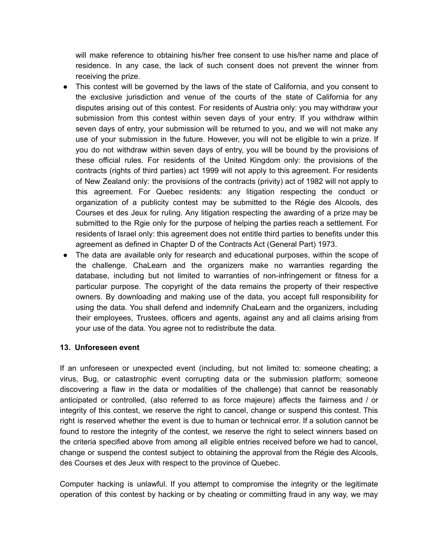will make reference to obtaining his/her free consent to use his/her name and place of residence. In any case, the lack of such consent does not prevent the winner from receiving the prize.

- This contest will be governed by the laws of the state of California, and you consent to the exclusive jurisdiction and venue of the courts of the state of California for any disputes arising out of this contest. For residents of Austria only: you may withdraw your submission from this contest within seven days of your entry. If you withdraw within seven days of entry, your submission will be returned to you, and we will not make any use of your submission in the future. However, you will not be eligible to win a prize. If you do not withdraw within seven days of entry, you will be bound by the provisions of these official rules. For residents of the United Kingdom only: the provisions of the contracts (rights of third parties) act 1999 will not apply to this agreement. For residents of New Zealand only: the provisions of the contracts (privity) act of 1982 will not apply to this agreement. For Quebec residents: any litigation respecting the conduct or organization of a publicity contest may be submitted to the Régie des Alcools, des Courses et des Jeux for ruling. Any litigation respecting the awarding of a prize may be submitted to the Rgie only for the purpose of helping the parties reach a settlement. For residents of Israel only: this agreement does not entitle third parties to benefits under this agreement as defined in Chapter D of the Contracts Act (General Part) 1973.
- The data are available only for research and educational purposes, within the scope of the challenge. ChaLearn and the organizers make no warranties regarding the database, including but not limited to warranties of non-infringement or fitness for a particular purpose. The copyright of the data remains the property of their respective owners. By downloading and making use of the data, you accept full responsibility for using the data. You shall defend and indemnify ChaLearn and the organizers, including their employees, Trustees, officers and agents, against any and all claims arising from your use of the data. You agree not to redistribute the data.

# **13. Unforeseen event**

If an unforeseen or unexpected event (including, but not limited to: someone cheating; a virus, Bug, or catastrophic event corrupting data or the submission platform; someone discovering a flaw in the data or modalities of the challenge) that cannot be reasonably anticipated or controlled, (also referred to as force majeure) affects the fairness and / or integrity of this contest, we reserve the right to cancel, change or suspend this contest. This right is reserved whether the event is due to human or technical error. If a solution cannot be found to restore the integrity of the contest, we reserve the right to select winners based on the criteria specified above from among all eligible entries received before we had to cancel, change or suspend the contest subject to obtaining the approval from the Régie des Alcools, des Courses et des Jeux with respect to the province of Quebec.

Computer hacking is unlawful. If you attempt to compromise the integrity or the legitimate operation of this contest by hacking or by cheating or committing fraud in any way, we may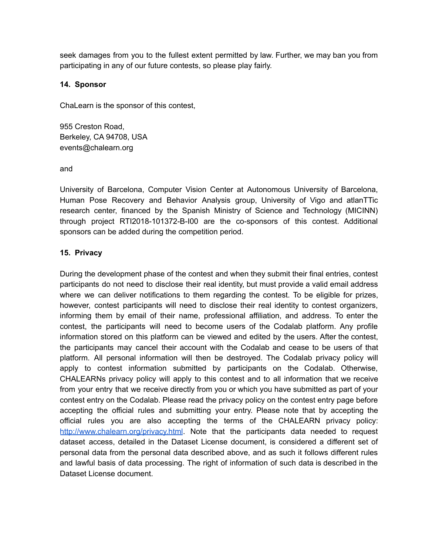seek damages from you to the fullest extent permitted by law. Further, we may ban you from participating in any of our future contests, so please play fairly.

# **14. Sponsor**

ChaLearn is the sponsor of this contest,

955 Creston Road, Berkeley, CA 94708, USA events@chalearn.org

and

University of Barcelona, Computer Vision Center at Autonomous University of Barcelona, Human Pose Recovery and Behavior Analysis group, University of Vigo and atlanTTic research center, financed by the Spanish Ministry of Science and Technology (MICINN) through project RTI2018-101372-B-I00 are the co-sponsors of this contest. Additional sponsors can be added during the competition period.

# **15. Privacy**

During the development phase of the contest and when they submit their final entries, contest participants do not need to disclose their real identity, but must provide a valid email address where we can deliver notifications to them regarding the contest. To be eligible for prizes, however, contest participants will need to disclose their real identity to contest organizers, informing them by email of their name, professional affiliation, and address. To enter the contest, the participants will need to become users of the Codalab platform. Any profile information stored on this platform can be viewed and edited by the users. After the contest, the participants may cancel their account with the Codalab and cease to be users of that platform. All personal information will then be destroyed. The Codalab privacy policy will apply to contest information submitted by participants on the Codalab. Otherwise, CHALEARNs privacy policy will apply to this contest and to all information that we receive from your entry that we receive directly from you or which you have submitted as part of your contest entry on the Codalab. Please read the privacy policy on the contest entry page before accepting the official rules and submitting your entry. Please note that by accepting the official rules you are also accepting the terms of the CHALEARN privacy policy: <http://www.chalearn.org/privacy.html>. Note that the participants data needed to request dataset access, detailed in the Dataset License document, is considered a different set of personal data from the personal data described above, and as such it follows different rules and lawful basis of data processing. The right of information of such data is described in the Dataset License document.